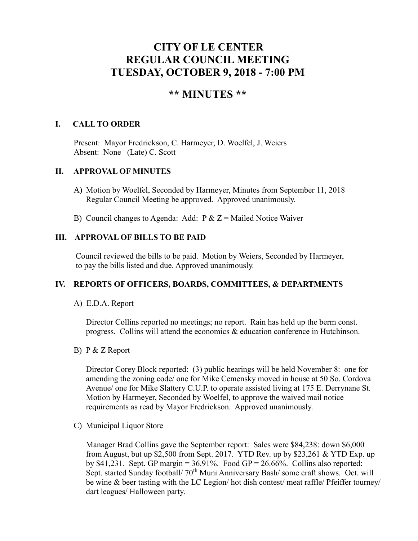# **CITY OF LE CENTER REGULAR COUNCIL MEETING TUESDAY, OCTOBER 9, 2018 - 7:00 PM**

# **\*\* MINUTES \*\***

## **I. CALL TO ORDER**

Present: Mayor Fredrickson, C. Harmeyer, D. Woelfel, J. Weiers Absent: None (Late) C. Scott

## **II. APPROVAL OF MINUTES**

- A) Motion by Woelfel, Seconded by Harmeyer, Minutes from September 11, 2018 Regular Council Meeting be approved. Approved unanimously.
- B) Council changes to Agenda: Add:  $P & Z =$  Mailed Notice Waiver

## **III. APPROVAL OF BILLS TO BE PAID**

Council reviewed the bills to be paid. Motion by Weiers, Seconded by Harmeyer, to pay the bills listed and due. Approved unanimously.

#### **IV. REPORTS OF OFFICERS, BOARDS, COMMITTEES, & DEPARTMENTS**

#### A) E.D.A. Report

 Director Collins reported no meetings; no report. Rain has held up the berm const. progress. Collins will attend the economics & education conference in Hutchinson.

#### B) P & Z Report

Director Corey Block reported: (3) public hearings will be held November 8: one for amending the zoning code/ one for Mike Cemensky moved in house at 50 So. Cordova Avenue/ one for Mike Slattery C.U.P. to operate assisted living at 175 E. Derrynane St. Motion by Harmeyer, Seconded by Woelfel, to approve the waived mail notice requirements as read by Mayor Fredrickson. Approved unanimously.

C) Municipal Liquor Store

Manager Brad Collins gave the September report: Sales were \$84,238: down \$6,000 from August, but up \$2,500 from Sept. 2017. YTD Rev. up by \$23,261 & YTD Exp. up by \$41,231. Sept. GP margin =  $36.91\%$ . Food GP =  $26.66\%$ . Collins also reported: Sept. started Sunday football/ 70<sup>th</sup> Muni Anniversary Bash/ some craft shows. Oct. will be wine & beer tasting with the LC Legion/ hot dish contest/ meat raffle/ Pfeiffer tourney/ dart leagues/ Halloween party.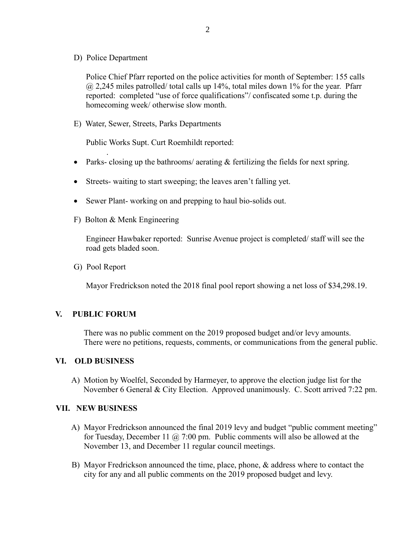D) Police Department

Police Chief Pfarr reported on the police activities for month of September: 155 calls  $\omega$  2,245 miles patrolled/ total calls up 14%, total miles down 1% for the year. Pfarr reported: completed "use of force qualifications"/ confiscated some t.p. during the homecoming week/ otherwise slow month.

E) Water, Sewer, Streets, Parks Departments

Public Works Supt. Curt Roemhildt reported:

- Parks- closing up the bathrooms/ aerating  $&$  fertilizing the fields for next spring.
- Streets- waiting to start sweeping; the leaves aren't falling yet.
- Sewer Plant-working on and prepping to haul bio-solids out.
- F) Bolton & Menk Engineering

 Engineer Hawbaker reported: Sunrise Avenue project is completed/ staff will see the road gets bladed soon.

G) Pool Report

.

Mayor Fredrickson noted the 2018 final pool report showing a net loss of \$34,298.19.

#### **V. PUBLIC FORUM**

 There was no public comment on the 2019 proposed budget and/or levy amounts. There were no petitions, requests, comments, or communications from the general public.

#### **VI. OLD BUSINESS**

A) Motion by Woelfel, Seconded by Harmeyer, to approve the election judge list for the November 6 General & City Election. Approved unanimously. C. Scott arrived 7:22 pm.

#### **VII. NEW BUSINESS**

- A) Mayor Fredrickson announced the final 2019 levy and budget "public comment meeting" for Tuesday, December 11  $\omega$  7:00 pm. Public comments will also be allowed at the November 13, and December 11 regular council meetings.
- B) Mayor Fredrickson announced the time, place, phone, & address where to contact the city for any and all public comments on the 2019 proposed budget and levy.